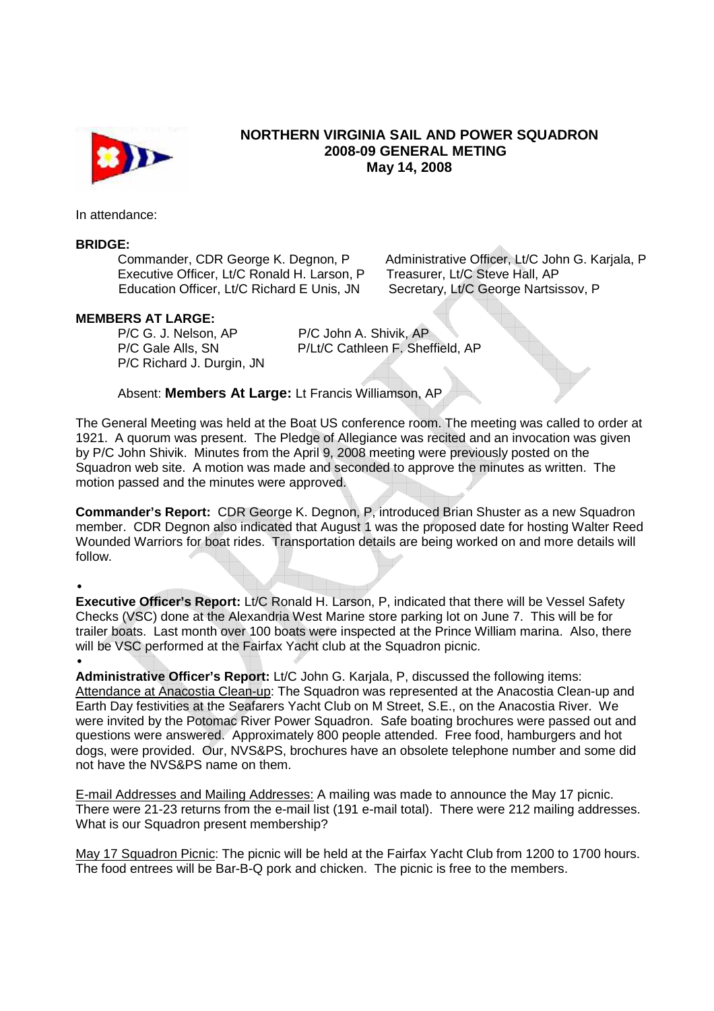

## **NORTHERN VIRGINIA SAIL AND POWER SQUADRON 2008-09 GENERAL METING May 14, 2008**

In attendance:

## **BRIDGE:**

Executive Officer, Lt/C Ronald H. Larson, P Treasurer, Lt/C Steve Hall, AP Education Officer, Lt/C Richard E Unis, JN Secretary, Lt/C George Nartsissov, P

Commander, CDR George K. Degnon, P Administrative Officer, Lt/C John G. Karjala, P

## **MEMBERS AT LARGE:**

P/C G. J. Nelson, AP P/C John A. Shivik, AP P/C Richard J. Durgin, JN

P/C Gale Alls, SN P/Lt/C Cathleen F. Sheffield, AP

Absent: **Members At Large:** Lt Francis Williamson, AP

The General Meeting was held at the Boat US conference room. The meeting was called to order at 1921. A quorum was present. The Pledge of Allegiance was recited and an invocation was given by P/C John Shivik. Minutes from the April 9, 2008 meeting were previously posted on the Squadron web site. A motion was made and seconded to approve the minutes as written. The motion passed and the minutes were approved.

**Commander's Report:** CDR George K. Degnon, P, introduced Brian Shuster as a new Squadron member. CDR Degnon also indicated that August 1 was the proposed date for hosting Walter Reed Wounded Warriors for boat rides. Transportation details are being worked on and more details will follow.

•

**Executive Officer's Report:** Lt/C Ronald H. Larson, P, indicated that there will be Vessel Safety Checks (VSC) done at the Alexandria West Marine store parking lot on June 7. This will be for trailer boats. Last month over 100 boats were inspected at the Prince William marina. Also, there will be VSC performed at the Fairfax Yacht club at the Squadron picnic.

• **Administrative Officer's Report:** Lt/C John G. Karjala, P, discussed the following items: Attendance at Anacostia Clean-up: The Squadron was represented at the Anacostia Clean-up and Earth Day festivities at the Seafarers Yacht Club on M Street, S.E., on the Anacostia River. We were invited by the Potomac River Power Squadron. Safe boating brochures were passed out and questions were answered. Approximately 800 people attended. Free food, hamburgers and hot dogs, were provided. Our, NVS&PS, brochures have an obsolete telephone number and some did not have the NVS&PS name on them.

E-mail Addresses and Mailing Addresses: A mailing was made to announce the May 17 picnic. There were 21-23 returns from the e-mail list (191 e-mail total). There were 212 mailing addresses. What is our Squadron present membership?

May 17 Squadron Picnic: The picnic will be held at the Fairfax Yacht Club from 1200 to 1700 hours. The food entrees will be Bar-B-Q pork and chicken. The picnic is free to the members.